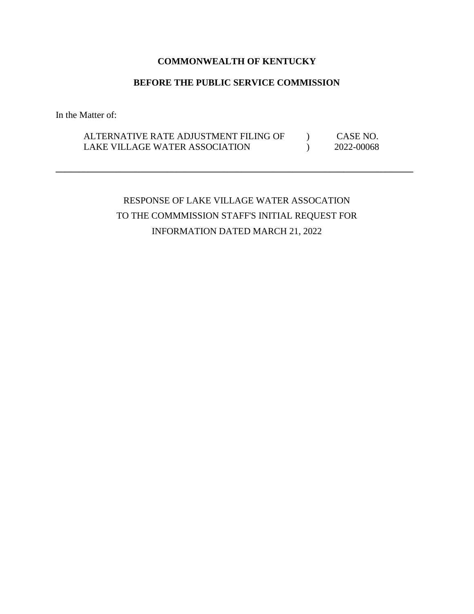## **COMMONWEALTH OF KENTUCKY**

## **BEFORE THE PUBLIC SERVICE COMMISSION**

In the Matter of:

## ALTERNATIVE RATE ADJUSTMENT FILING OF  $\qquad$  ) CASE NO. LAKE VILLAGE WATER ASSOCIATION  $2022-00068$

**\_\_\_\_\_\_\_\_\_\_\_\_\_\_\_\_\_\_\_\_\_\_\_\_\_\_\_\_\_\_\_\_\_\_\_\_\_\_\_\_\_\_\_\_\_\_\_\_\_\_\_\_\_\_\_\_\_\_\_\_\_\_\_\_\_\_\_\_\_\_\_\_\_\_\_\_\_**

# RESPONSE OF LAKE VILLAGE WATER ASSOCATION TO THE COMMMISSION STAFF'S INITIAL REQUEST FOR INFORMATION DATED MARCH 21, 2022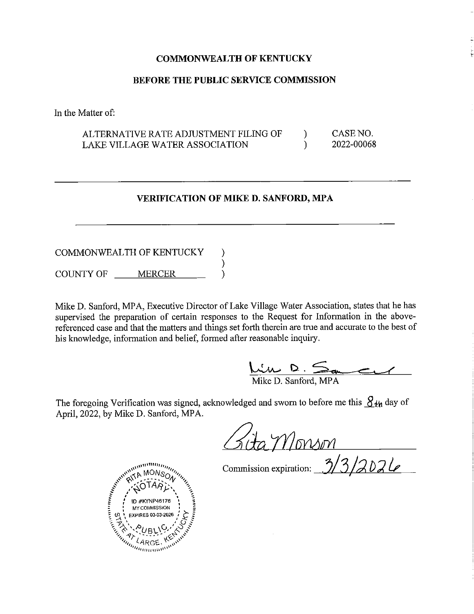#### **COMMONWEALTH OF KENTUCKY**

#### **BEFORE THE PUBLIC SERVICE COMMISSION**

In the Matter of:

ALTERNATIVE RATE ADJUSTMENT FILING OF LAKE VILLAGE WATER ASSOCIATION )  $\lambda$ CASE NO. 2022-00068

#### **VERIFICATION OF MIKED. SANFORD, MPA**

#### COMMONWEALTH OF KENTUCKY COUNTY OF \_\_\_\_ MERCER ) ) )

Mike D. Sanford, MPA, Executive Director of Lake Village Water Association, states that he has supervised the preparation of certain responses to the Request for Information in the abovereferenced case and that the matters and things set forth therein are true and accurate to the best of his knowledge, information and belief, formed after reasonable inquiry.

 $\frac{M_{\text{w}} D.}_{\text{Mike D. Sanford, MPA}}$ 

The foregoing Verification was signed, acknowledged and sworn to before me this  $S_{4h}$  day of April, 2022, by Mike D. Sanford, MPA.

Commission expiration: 3/3/2024

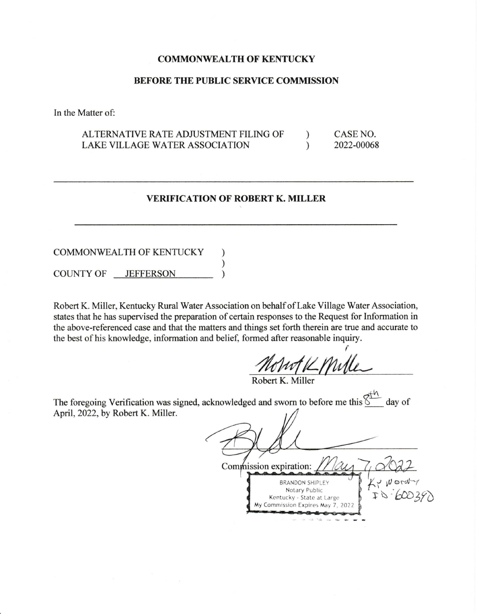#### **COMMONWEAL TH OF KENTUCKY**

#### **BEFORE THE PUBLIC SERVICE COMMISSION**

In the Matter of:

AL TERNATNE RA TE ADJUSTMENT FILING OF LAKE VILLAGE WATER ASSOCIATION ) ) CASE NO. 2022-00068

## **VERIFICATION OF ROBERT K. MILLER**

#### COMMONWEAL TH OF KENTUCKY COUNTY OF JEFFERSON ) ) )

Robert K. Miller, Kentucky Rural Water Association on behalf of Lake Village Water Association, states that he has supervised the preparation of certain responses to the Request for Information in the above-referenced case and that the matters and things set forth therein are true and accurate to the best of his knowledge, information and belief, formed after reasonable inquiry.

r Mont V Mille

Robert K. Miller

The foregoing Verification was signed, acknowledged and sworn to before me this  $\overline{\S}$  day of April, 2022, by Robert K. Miller.

Commission expiration:  $k$ ? Word **BRANDON SHIPLEY** Notary Public i- <sup>~</sup>*--bro3ro* Kentucky - State at Large **My Commission Expires May 7, 20**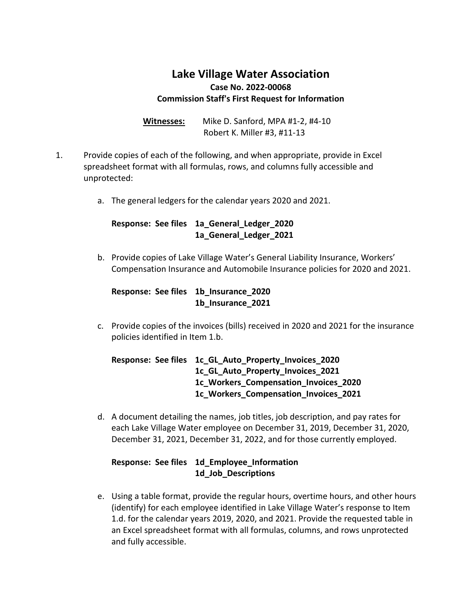# **Lake Village Water Association Case No. 2022-00068 Commission Staff's First Request for Information**

**Witnesses:** Mike D. Sanford, MPA #1-2, #4-10 Robert K. Miller #3, #11-13

- 1. Provide copies of each of the following, and when appropriate, provide in Excel spreadsheet format with all formulas, rows, and columns fully accessible and unprotected:
	- a. The general ledgers for the calendar years 2020 and 2021.

## **Response: See files 1a\_General\_Ledger\_2020 1a\_General\_Ledger\_2021**

b. Provide copies of Lake Village Water's General Liability Insurance, Workers' Compensation Insurance and Automobile Insurance policies for 2020 and 2021.

**Response: See files 1b\_Insurance\_2020 1b\_Insurance\_2021**

c. Provide copies of the invoices (bills) received in 2020 and 2021 for the insurance policies identified in Item 1.b.

**Response: See files 1c\_GL\_Auto\_Property\_Invoices\_2020 1c\_GL\_Auto\_Property\_Invoices\_2021 1c\_Workers\_Compensation\_Invoices\_2020 1c\_Workers\_Compensation\_Invoices\_2021**

d. A document detailing the names, job titles, job description, and pay rates for each Lake Village Water employee on December 31, 2019, December 31, 2020, December 31, 2021, December 31, 2022, and for those currently employed.

## **Response: See files 1d\_Employee\_Information 1d\_Job\_Descriptions**

e. Using a table format, provide the regular hours, overtime hours, and other hours (identify) for each employee identified in Lake Village Water's response to Item 1.d. for the calendar years 2019, 2020, and 2021. Provide the requested table in an Excel spreadsheet format with all formulas, columns, and rows unprotected and fully accessible.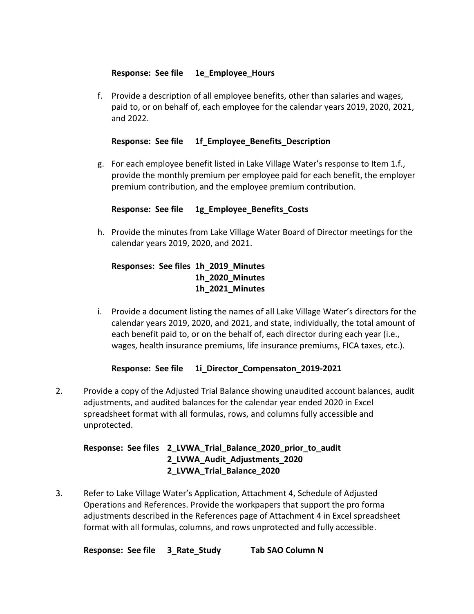## **Response: See file 1e\_Employee\_Hours**

f. Provide a description of all employee benefits, other than salaries and wages, paid to, or on behalf of, each employee for the calendar years 2019, 2020, 2021, and 2022.

## **Response: See file 1f\_Employee\_Benefits\_Description**

g. For each employee benefit listed in Lake Village Water's response to Item 1.f., provide the monthly premium per employee paid for each benefit, the employer premium contribution, and the employee premium contribution.

## **Response: See file 1g\_Employee\_Benefits\_Costs**

h. Provide the minutes from Lake Village Water Board of Director meetings for the calendar years 2019, 2020, and 2021.

## **Responses: See files 1h\_2019\_Minutes 1h\_2020\_Minutes 1h\_2021\_Minutes**

i. Provide a document listing the names of all Lake Village Water's directors for the calendar years 2019, 2020, and 2021, and state, individually, the total amount of each benefit paid to, or on the behalf of, each director during each year (i.e., wages, health insurance premiums, life insurance premiums, FICA taxes, etc.).

## **Response: See file 1i\_Director\_Compensaton\_2019-2021**

2. Provide a copy of the Adjusted Trial Balance showing unaudited account balances, audit adjustments, and audited balances for the calendar year ended 2020 in Excel spreadsheet format with all formulas, rows, and columns fully accessible and unprotected.

## **Response: See files 2\_LVWA\_Trial\_Balance\_2020\_prior\_to\_audit 2\_LVWA\_Audit\_Adjustments\_2020 2\_LVWA\_Trial\_Balance\_2020**

3. Refer to Lake Village Water's Application, Attachment 4, Schedule of Adjusted Operations and References. Provide the workpapers that support the pro forma adjustments described in the References page of Attachment 4 in Excel spreadsheet format with all formulas, columns, and rows unprotected and fully accessible.

**Response: See file 3\_Rate\_Study Tab SAO Column N**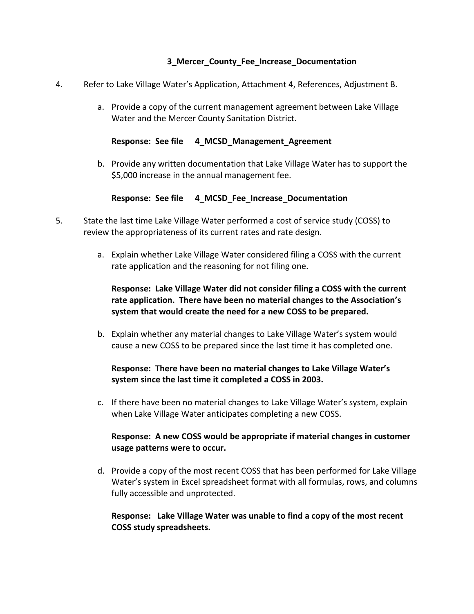## **3\_Mercer\_County\_Fee\_Increase\_Documentation**

- 4. Refer to Lake Village Water's Application, Attachment 4, References, Adjustment B.
	- a. Provide a copy of the current management agreement between Lake Village Water and the Mercer County Sanitation District.

#### **Response: See file 4\_MCSD\_Management\_Agreement**

b. Provide any written documentation that Lake Village Water has to support the \$5,000 increase in the annual management fee.

## **Response: See file 4\_MCSD\_Fee\_Increase\_Documentation**

- 5. State the last time Lake Village Water performed a cost of service study (COSS) to review the appropriateness of its current rates and rate design.
	- a. Explain whether Lake Village Water considered filing a COSS with the current rate application and the reasoning for not filing one.

## **Response: Lake Village Water did not consider filing a COSS with the current rate application. There have been no material changes to the Association's system that would create the need for a new COSS to be prepared.**

b. Explain whether any material changes to Lake Village Water's system would cause a new COSS to be prepared since the last time it has completed one.

## **Response: There have been no material changes to Lake Village Water's system since the last time it completed a COSS in 2003.**

c. If there have been no material changes to Lake Village Water's system, explain when Lake Village Water anticipates completing a new COSS.

## **Response: A new COSS would be appropriate if material changes in customer usage patterns were to occur.**

d. Provide a copy of the most recent COSS that has been performed for Lake Village Water's system in Excel spreadsheet format with all formulas, rows, and columns fully accessible and unprotected.

## **Response: Lake Village Water was unable to find a copy of the most recent COSS study spreadsheets.**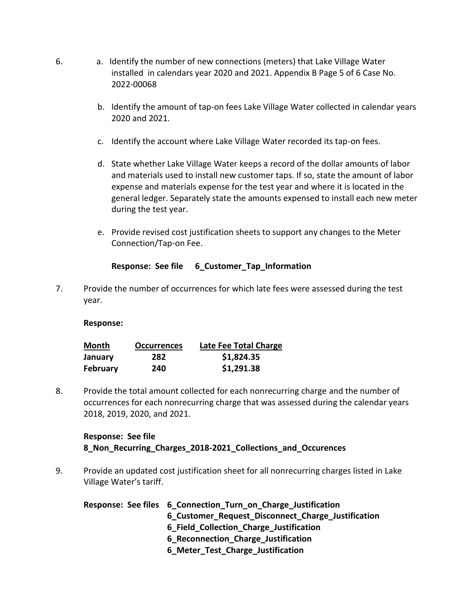- 6. a. Identify the number of new connections (meters) that Lake Village Water installed in calendars year 2020 and 2021. Appendix B Page 5 of 6 Case No. 2022-00068
	- b. Identify the amount of tap-on fees Lake Village Water collected in calendar years 2020 and 2021.
	- c. Identify the account where Lake Village Water recorded its tap-on fees.
	- d. State whether Lake Village Water keeps a record of the dollar amounts of labor and materials used to install new customer taps. If so, state the amount of labor expense and materials expense for the test year and where it is located in the general ledger. Separately state the amounts expensed to install each new meter during the test year.
	- e. Provide revised cost justification sheets to support any changes to the Meter Connection/Tap-on Fee.

## **Response: See file 6\_Customer\_Tap\_Information**

7. Provide the number of occurrences for which late fees were assessed during the test year.

## **Response:**

| Month           | <b>Occurrences</b> | Late Fee Total Charge |
|-----------------|--------------------|-----------------------|
| January         | 282                | \$1,824.35            |
| <b>February</b> | 240                | \$1,291.38            |

8. Provide the total amount collected for each nonrecurring charge and the number of occurrences for each nonrecurring charge that was assessed during the calendar years 2018, 2019, 2020, and 2021.

## **Response: See file 8\_Non\_Recurring\_Charges\_2018-2021\_Collections\_and\_Occurences**

9. Provide an updated cost justification sheet for all nonrecurring charges listed in Lake Village Water's tariff.

| Response: See files 6 Connection Turn on Charge Justification |
|---------------------------------------------------------------|
| 6 Customer Request Disconnect Charge Justification            |
| 6 Field Collection Charge Justification                       |
| 6 Reconnection Charge Justification                           |
| 6 Meter_Test_Charge_Justification                             |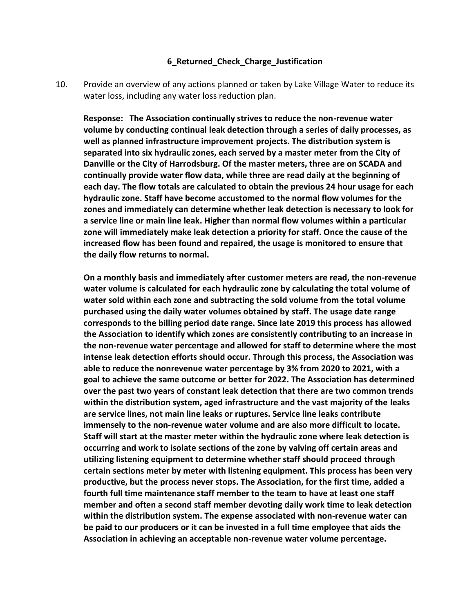#### **6\_Returned\_Check\_Charge\_Justification**

10. Provide an overview of any actions planned or taken by Lake Village Water to reduce its water loss, including any water loss reduction plan.

**Response: The Association continually strives to reduce the non-revenue water volume by conducting continual leak detection through a series of daily processes, as well as planned infrastructure improvement projects. The distribution system is separated into six hydraulic zones, each served by a master meter from the City of Danville or the City of Harrodsburg. Of the master meters, three are on SCADA and continually provide water flow data, while three are read daily at the beginning of each day. The flow totals are calculated to obtain the previous 24 hour usage for each hydraulic zone. Staff have become accustomed to the normal flow volumes for the zones and immediately can determine whether leak detection is necessary to look for a service line or main line leak. Higher than normal flow volumes within a particular zone will immediately make leak detection a priority for staff. Once the cause of the increased flow has been found and repaired, the usage is monitored to ensure that the daily flow returns to normal.**

**On a monthly basis and immediately after customer meters are read, the non-revenue water volume is calculated for each hydraulic zone by calculating the total volume of water sold within each zone and subtracting the sold volume from the total volume purchased using the daily water volumes obtained by staff. The usage date range corresponds to the billing period date range. Since late 2019 this process has allowed the Association to identify which zones are consistently contributing to an increase in the non-revenue water percentage and allowed for staff to determine where the most intense leak detection efforts should occur. Through this process, the Association was able to reduce the nonrevenue water percentage by 3% from 2020 to 2021, with a goal to achieve the same outcome or better for 2022. The Association has determined over the past two years of constant leak detection that there are two common trends within the distribution system, aged infrastructure and the vast majority of the leaks are service lines, not main line leaks or ruptures. Service line leaks contribute immensely to the non-revenue water volume and are also more difficult to locate. Staff will start at the master meter within the hydraulic zone where leak detection is occurring and work to isolate sections of the zone by valving off certain areas and utilizing listening equipment to determine whether staff should proceed through certain sections meter by meter with listening equipment. This process has been very productive, but the process never stops. The Association, for the first time, added a fourth full time maintenance staff member to the team to have at least one staff member and often a second staff member devoting daily work time to leak detection within the distribution system. The expense associated with non-revenue water can be paid to our producers or it can be invested in a full time employee that aids the Association in achieving an acceptable non-revenue water volume percentage.**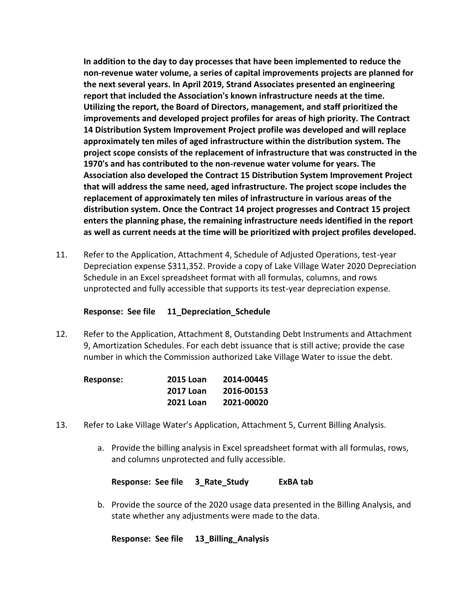**In addition to the day to day processes that have been implemented to reduce the non-revenue water volume, a series of capital improvements projects are planned for the next several years. In April 2019, Strand Associates presented an engineering report that included the Association's known infrastructure needs at the time. Utilizing the report, the Board of Directors, management, and staff prioritized the improvements and developed project profiles for areas of high priority. The Contract 14 Distribution System Improvement Project profile was developed and will replace approximately ten miles of aged infrastructure within the distribution system. The project scope consists of the replacement of infrastructure that was constructed in the 1970's and has contributed to the non-revenue water volume for years. The Association also developed the Contract 15 Distribution System Improvement Project that will address the same need, aged infrastructure. The project scope includes the replacement of approximately ten miles of infrastructure in various areas of the distribution system. Once the Contract 14 project progresses and Contract 15 project enters the planning phase, the remaining infrastructure needs identified in the report as well as current needs at the time will be prioritized with project profiles developed.**

11. Refer to the Application, Attachment 4, Schedule of Adjusted Operations, test-year Depreciation expense \$311,352. Provide a copy of Lake Village Water 2020 Depreciation Schedule in an Excel spreadsheet format with all formulas, columns, and rows unprotected and fully accessible that supports its test-year depreciation expense.

## **Response: See file 11\_Depreciation\_Schedule**

12. Refer to the Application, Attachment 8, Outstanding Debt Instruments and Attachment 9, Amortization Schedules. For each debt issuance that is still active; provide the case number in which the Commission authorized Lake Village Water to issue the debt.

| Response: | <b>2015 Loan</b> | 2014-00445 |
|-----------|------------------|------------|
|           | <b>2017 Loan</b> | 2016-00153 |
|           | <b>2021 Loan</b> | 2021-00020 |

- 13. Refer to Lake Village Water's Application, Attachment 5, Current Billing Analysis.
	- a. Provide the billing analysis in Excel spreadsheet format with all formulas, rows, and columns unprotected and fully accessible.

**Response: See file 3\_Rate\_Study ExBA tab**

b. Provide the source of the 2020 usage data presented in the Billing Analysis, and state whether any adjustments were made to the data.

**Response: See file 13\_Billing\_Analysis**